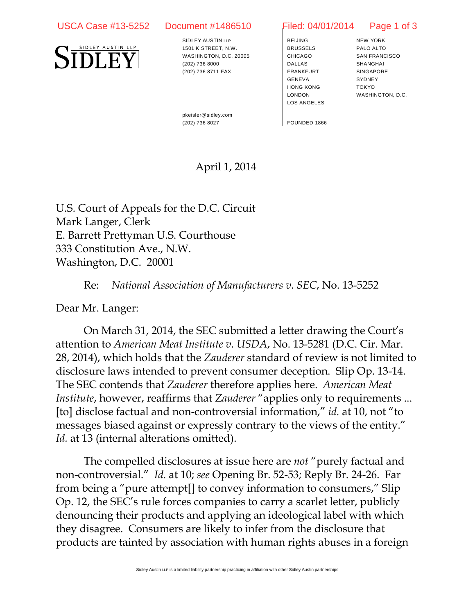## USCA Case #13-5252 Document #1486510 Filed: 04/01/2014 Page 1 of 3



SIDLEY AUSTIN LLP 1501 K STREET, N.W. WASHINGTON, D.C. 20005 (202) 736 8000 (202) 736 8711 FAX

BEIJING BRUSSELS CHICAGO DALLAS FRANKFURT GENEVA HONG KONG LONDON LOS ANGELES

NEW YORK PALO ALTO SAN FRANCISCO SHANGHAI SINGAPORE **SYDNEY** TOKYO WASHINGTON, D.C.

pkeisler@sidley.com (202) 736 8027 FOUNDED 1866

## April 1, 2014

U.S. Court of Appeals for the D.C. Circuit Mark Langer, Clerk E. Barrett Prettyman U.S. Courthouse 333 Constitution Ave., N.W. Washington, D.C. 20001

Re: *National Association of Manufacturers v. SEC*, No. 13-5252

Dear Mr. Langer:

On March 31, 2014, the SEC submitted a letter drawing the Court's attention to *American Meat Institute v. USDA*, No. 13-5281 (D.C. Cir. Mar. 28, 2014), which holds that the *Zauderer* standard of review is not limited to disclosure laws intended to prevent consumer deception. Slip Op. 13-14. The SEC contends that *Zauderer* therefore applies here. *American Meat Institute*, however, reaffirms that *Zauderer* "applies only to requirements ... [to] disclose factual and non-controversial information," *id.* at 10, not "to messages biased against or expressly contrary to the views of the entity." *Id.* at 13 (internal alterations omitted).

The compelled disclosures at issue here are *not* "purely factual and non-controversial." *Id.* at 10; *see* Opening Br. 52-53; Reply Br. 24-26. Far from being a "pure attempt[] to convey information to consumers," Slip Op. 12, the SEC's rule forces companies to carry a scarlet letter, publicly denouncing their products and applying an ideological label with which they disagree. Consumers are likely to infer from the disclosure that products are tainted by association with human rights abuses in a foreign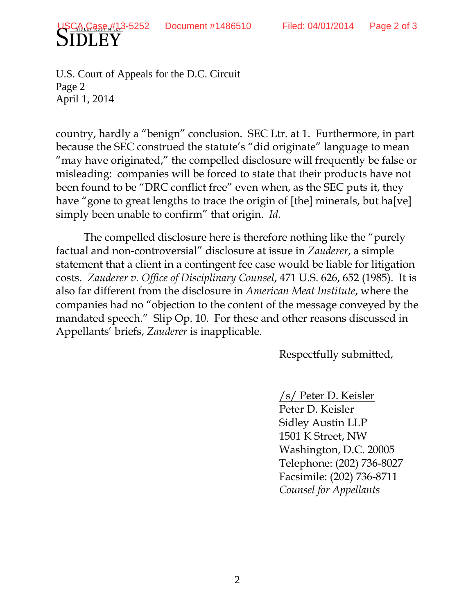U.S. Court of Appeals for the D.C. Circuit Page 2 April 1, 2014

country, hardly a "benign" conclusion. SEC Ltr. at 1. Furthermore, in part because the SEC construed the statute's "did originate" language to mean "may have originated," the compelled disclosure will frequently be false or misleading: companies will be forced to state that their products have not been found to be "DRC conflict free" even when, as the SEC puts it, they have "gone to great lengths to trace the origin of [the] minerals, but ha[ve] simply been unable to confirm" that origin. *Id.*

The compelled disclosure here is therefore nothing like the "purely factual and non-controversial" disclosure at issue in *Zauderer*, a simple statement that a client in a contingent fee case would be liable for litigation costs. *Zauderer v. Office of Disciplinary Counsel*, 471 U.S. 626, 652 (1985). It is also far different from the disclosure in *American Meat Institute*, where the companies had no "objection to the content of the message conveyed by the mandated speech." Slip Op. 10. For these and other reasons discussed in Appellants' briefs, *Zauderer* is inapplicable.

Respectfully submitted,

/s/ Peter D. Keisler

Peter D. Keisler Sidley Austin LLP 1501 K Street, NW Washington, D.C. 20005 Telephone: (202) 736-8027 Facsimile: (202) 736-8711 *Counsel for Appellants*